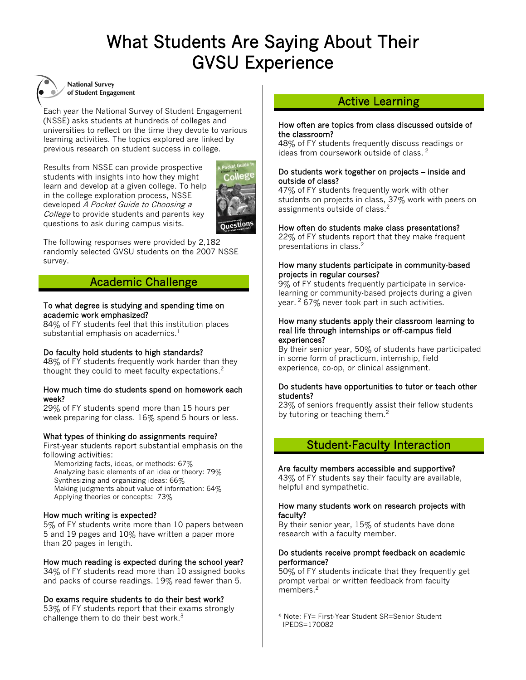# What Students Are Saying About Their GVSU Experience

Ι

Ι



**National Survey** of Student Engagement

Each year the National Survey of Student Engagement (NSSE) asks students at hundreds of colleges and universities to reflect on the time they devote to various learning activities. The topics explored are linked by previous research on student success in college.

Results from NSSE can provide prospective students with insights into how they might learn and develop at a given college. To help in the college exploration process, NSSE developed A Pocket Guide to Choosing a College to provide students and parents key questions to ask during campus visits.



The following responses were provided by 2,182 randomly selected GVSU students on the 2007 NSSE survey.

### Academic Challenge

## To what degree is studying and spending time on academic work emphasized?

84% of FY students feel that this institution places substantial emphasis on academics. $<sup>1</sup>$ </sup>

#### Do faculty hold students to high standards?

48% of FY students frequently work harder than they thought they could to meet faculty expectations.<sup>2</sup>

#### How much time do students spend on homework each week?

29% of FY students spend more than 15 hours per week preparing for class. 16% spend 5 hours or less.

#### What types of thinking do assignments require?

First-year students report substantial emphasis on the following activities:

 Memorizing facts, ideas, or methods: 67% Analyzing basic elements of an idea or theory: 79% Synthesizing and organizing ideas: 66% Making judgments about value of information: 64% Applying theories or concepts: 73%

#### How much writing is expected?

5% of FY students write more than 10 papers between 5 and 19 pages and 10% have written a paper more than 20 pages in length.

#### How much reading is expected during the school year?

34% of FY students read more than 10 assigned books and packs of course readings. 19% read fewer than 5.

#### Do exams require students to do their best work?

53% of FY students report that their exams strongly challenge them to do their best work.<sup>3</sup>

### Active Learning

#### How often are topics from class discussed outside of the classroom?

48% of FY students frequently discuss readings or ideas from coursework outside of class.<sup>2</sup>

#### Do students work together on projects – inside and outside of class?

47% of FY students frequently work with other students on projects in class, 37% work with peers on assignments outside of class.<sup>2</sup>

#### How often do students make class presentations?

22% of FY students report that they make frequent presentations in class.<sup>2</sup>

#### How many students participate in community-based projects in regular courses?

9% of FY students frequently participate in servicelearning or community-based projects during a given year. <sup>2</sup> 67% never took part in such activities.

#### How many students apply their classroom learning to real life through internships or off-campus field experiences?

By their senior year, 50% of students have participated in some form of practicum, internship, field experience, co-op, or clinical assignment.

#### Do students have opportunities to tutor or teach other students?

23% of seniors frequently assist their fellow students by tutoring or teaching them.<sup>2</sup>

### Student-Faculty Interaction

### Are faculty members accessible and supportive?

43% of FY students say their faculty are available, helpful and sympathetic.

#### How many students work on research projects with faculty?

By their senior year, 15% of students have done research with a faculty member.

#### Do students receive prompt feedback on academic performance?

50% of FY students indicate that they frequently get prompt verbal or written feedback from faculty members.<sup>2</sup>

\* Note: FY= First-Year Student SR=Senior Student IPEDS=170082